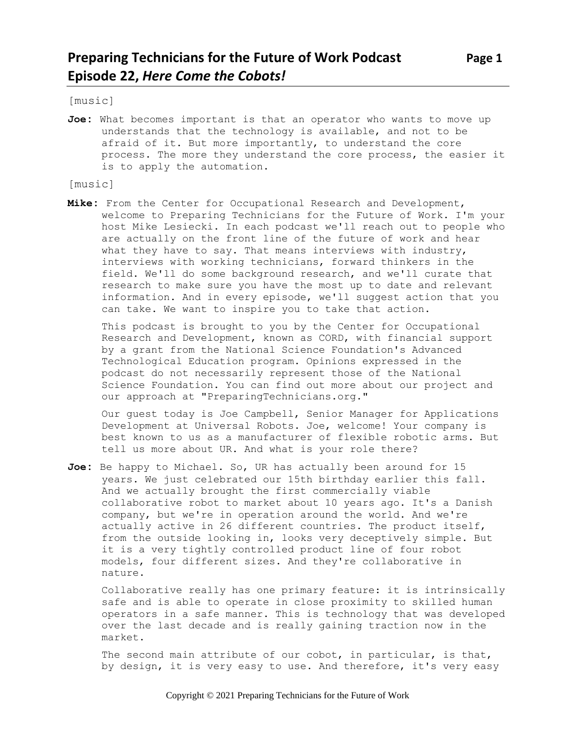[music]

**Joe:** What becomes important is that an operator who wants to move up understands that the technology is available, and not to be afraid of it. But more importantly, to understand the core process. The more they understand the core process, the easier it is to apply the automation.

#### [music]

**Mike:** From the Center for Occupational Research and Development, welcome to Preparing Technicians for the Future of Work. I'm your host Mike Lesiecki. In each podcast we'll reach out to people who are actually on the front line of the future of work and hear what they have to say. That means interviews with industry, interviews with working technicians, forward thinkers in the field. We'll do some background research, and we'll curate that research to make sure you have the most up to date and relevant information. And in every episode, we'll suggest action that you can take. We want to inspire you to take that action.

This podcast is brought to you by the Center for Occupational Research and Development, known as CORD, with financial support by a grant from the National Science Foundation's Advanced Technological Education program. Opinions expressed in the podcast do not necessarily represent those of the National Science Foundation. You can find out more about our project and our approach at "PreparingTechnicians.org."

Our guest today is Joe Campbell, Senior Manager for Applications Development at Universal Robots. Joe, welcome! Your company is best known to us as a manufacturer of flexible robotic arms. But tell us more about UR. And what is your role there?

**Joe:** Be happy to Michael. So, UR has actually been around for 15 years. We just celebrated our 15th birthday earlier this fall. And we actually brought the first commercially viable collaborative robot to market about 10 years ago. It's a Danish company, but we're in operation around the world. And we're actually active in 26 different countries. The product itself, from the outside looking in, looks very deceptively simple. But it is a very tightly controlled product line of four robot models, four different sizes. And they're collaborative in nature.

Collaborative really has one primary feature: it is intrinsically safe and is able to operate in close proximity to skilled human operators in a safe manner. This is technology that was developed over the last decade and is really gaining traction now in the market.

The second main attribute of our cobot, in particular, is that, by design, it is very easy to use. And therefore, it's very easy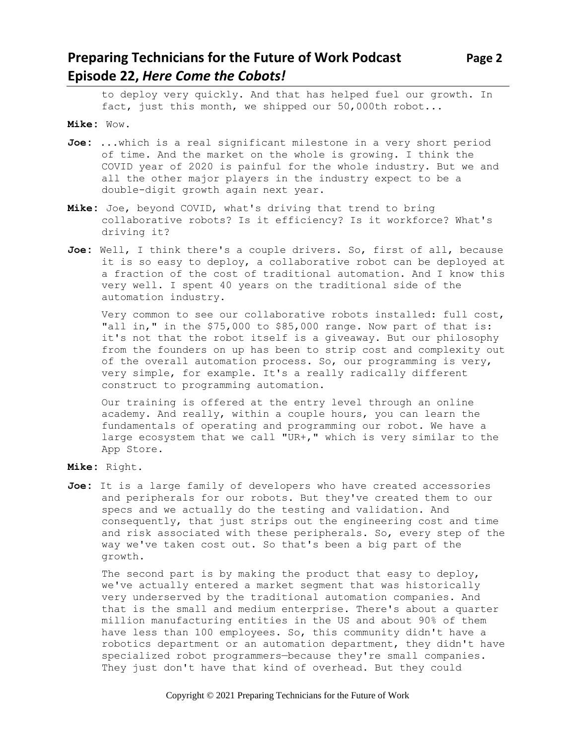# **Preparing Technicians for the Future of Work Podcast Page 2 Episode 22,** *Here Come the Cobots!*

to deploy very quickly. And that has helped fuel our growth. In fact, just this month, we shipped our 50,000th robot...

**Mike:** Wow.

- **Joe:** ...which is a real significant milestone in a very short period of time. And the market on the whole is growing. I think the COVID year of 2020 is painful for the whole industry. But we and all the other major players in the industry expect to be a double-digit growth again next year.
- **Mike:** Joe, beyond COVID, what's driving that trend to bring collaborative robots? Is it efficiency? Is it workforce? What's driving it?
- **Joe:** Well, I think there's a couple drivers. So, first of all, because it is so easy to deploy, a collaborative robot can be deployed at a fraction of the cost of traditional automation. And I know this very well. I spent 40 years on the traditional side of the automation industry.

Very common to see our collaborative robots installed: full cost, "all in," in the \$75,000 to \$85,000 range. Now part of that is: it's not that the robot itself is a giveaway. But our philosophy from the founders on up has been to strip cost and complexity out of the overall automation process. So, our programming is very, very simple, for example. It's a really radically different construct to programming automation.

Our training is offered at the entry level through an online academy. And really, within a couple hours, you can learn the fundamentals of operating and programming our robot. We have a large ecosystem that we call "UR+," which is very similar to the App Store.

- **Mike:** Right.
- **Joe:** It is a large family of developers who have created accessories and peripherals for our robots. But they've created them to our specs and we actually do the testing and validation. And consequently, that just strips out the engineering cost and time and risk associated with these peripherals. So, every step of the way we've taken cost out. So that's been a big part of the growth.

The second part is by making the product that easy to deploy, we've actually entered a market segment that was historically very underserved by the traditional automation companies. And that is the small and medium enterprise. There's about a quarter million manufacturing entities in the US and about 90% of them have less than 100 employees. So, this community didn't have a robotics department or an automation department, they didn't have specialized robot programmers—because they're small companies. They just don't have that kind of overhead. But they could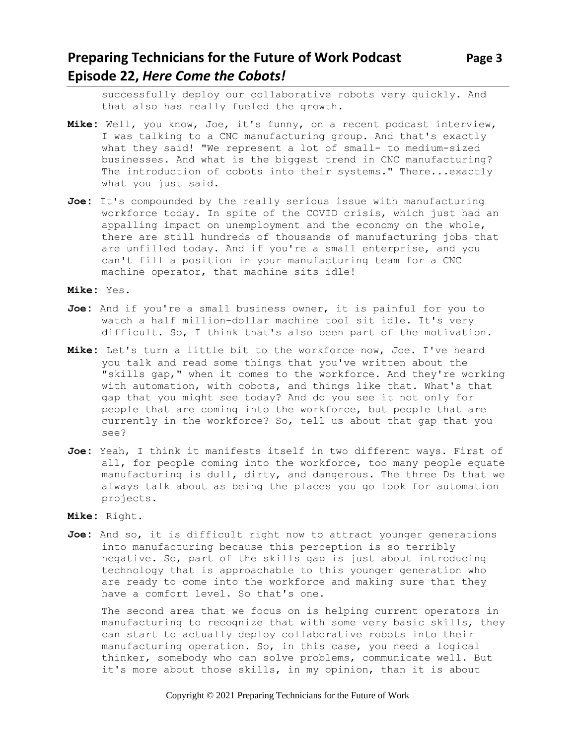# **Preparing Technicians for the Future of Work Podcast** Page 3 **Episode 22,** *Here Come the Cobots!*

successfully deploy our collaborative robots very quickly. And that also has really fueled the growth.

- **Mike:** Well, you know, Joe, it's funny, on a recent podcast interview, I was talking to a CNC manufacturing group. And that's exactly what they said! "We represent a lot of small- to medium-sized businesses. And what is the biggest trend in CNC manufacturing? The introduction of cobots into their systems." There...exactly what you just said.
- **Joe:** It's compounded by the really serious issue with manufacturing workforce today. In spite of the COVID crisis, which just had an appalling impact on unemployment and the economy on the whole, there are still hundreds of thousands of manufacturing jobs that are unfilled today. And if you're a small enterprise, and you can't fill a position in your manufacturing team for a CNC machine operator, that machine sits idle!

**Mike:** Yes.

- **Joe:** And if you're a small business owner, it is painful for you to watch a half million-dollar machine tool sit idle. It's very difficult. So, I think that's also been part of the motivation.
- **Mike:** Let's turn a little bit to the workforce now, Joe. I've heard you talk and read some things that you've written about the "skills gap," when it comes to the workforce. And they're working with automation, with cobots, and things like that. What's that gap that you might see today? And do you see it not only for people that are coming into the workforce, but people that are currently in the workforce? So, tell us about that gap that you see?
- **Joe:** Yeah, I think it manifests itself in two different ways. First of all, for people coming into the workforce, too many people equate manufacturing is dull, dirty, and dangerous. The three Ds that we always talk about as being the places you go look for automation projects.

**Mike:** Right.

**Joe:** And so, it is difficult right now to attract younger generations into manufacturing because this perception is so terribly negative. So, part of the skills gap is just about introducing technology that is approachable to this younger generation who are ready to come into the workforce and making sure that they have a comfort level. So that's one.

The second area that we focus on is helping current operators in manufacturing to recognize that with some very basic skills, they can start to actually deploy collaborative robots into their manufacturing operation. So, in this case, you need a logical thinker, somebody who can solve problems, communicate well. But it's more about those skills, in my opinion, than it is about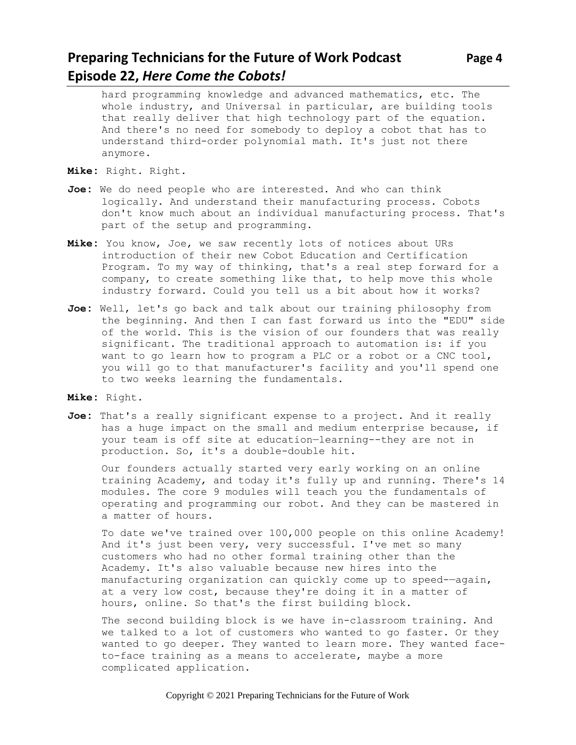## **Preparing Technicians for the Future of Work Podcast Page 4 Episode 22,** *Here Come the Cobots!*

hard programming knowledge and advanced mathematics, etc. The whole industry, and Universal in particular, are building tools that really deliver that high technology part of the equation. And there's no need for somebody to deploy a cobot that has to understand third-order polynomial math. It's just not there anymore.

- **Mike:** Right. Right.
- **Joe:** We do need people who are interested. And who can think logically. And understand their manufacturing process. Cobots don't know much about an individual manufacturing process. That's part of the setup and programming.
- **Mike:** You know, Joe, we saw recently lots of notices about URs introduction of their new Cobot Education and Certification Program. To my way of thinking, that's a real step forward for a company, to create something like that, to help move this whole industry forward. Could you tell us a bit about how it works?
- **Joe:** Well, let's go back and talk about our training philosophy from the beginning. And then I can fast forward us into the "EDU" side of the world. This is the vision of our founders that was really significant. The traditional approach to automation is: if you want to go learn how to program a PLC or a robot or a CNC tool, you will go to that manufacturer's facility and you'll spend one to two weeks learning the fundamentals.
- **Mike:** Right.
- **Joe:** That's a really significant expense to a project. And it really has a huge impact on the small and medium enterprise because, if your team is off site at education—learning--they are not in production. So, it's a double-double hit.

Our founders actually started very early working on an online training Academy, and today it's fully up and running. There's 14 modules. The core 9 modules will teach you the fundamentals of operating and programming our robot. And they can be mastered in a matter of hours.

To date we've trained over 100,000 people on this online Academy! And it's just been very, very successful. I've met so many customers who had no other formal training other than the Academy. It's also valuable because new hires into the manufacturing organization can quickly come up to speed-—again, at a very low cost, because they're doing it in a matter of hours, online. So that's the first building block.

The second building block is we have in-classroom training. And we talked to a lot of customers who wanted to go faster. Or they wanted to go deeper. They wanted to learn more. They wanted faceto-face training as a means to accelerate, maybe a more complicated application.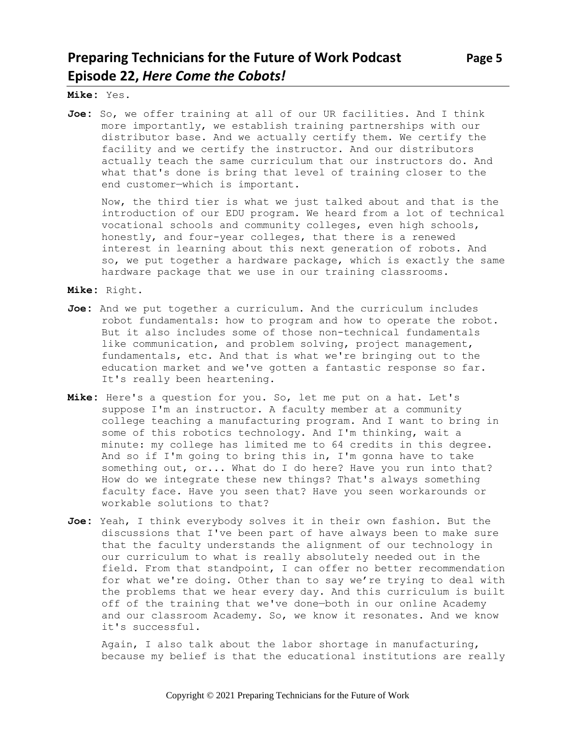# **Preparing Technicians for the Future of Work Podcast Page 5 Episode 22,** *Here Come the Cobots!*

**Mike:** Yes.

**Joe:** So, we offer training at all of our UR facilities. And I think more importantly, we establish training partnerships with our distributor base. And we actually certify them. We certify the facility and we certify the instructor. And our distributors actually teach the same curriculum that our instructors do. And what that's done is bring that level of training closer to the end customer—which is important.

Now, the third tier is what we just talked about and that is the introduction of our EDU program. We heard from a lot of technical vocational schools and community colleges, even high schools, honestly, and four-year colleges, that there is a renewed interest in learning about this next generation of robots. And so, we put together a hardware package, which is exactly the same hardware package that we use in our training classrooms.

**Mike:** Right.

- **Joe:** And we put together a curriculum. And the curriculum includes robot fundamentals: how to program and how to operate the robot. But it also includes some of those non-technical fundamentals like communication, and problem solving, project management, fundamentals, etc. And that is what we're bringing out to the education market and we've gotten a fantastic response so far. It's really been heartening.
- **Mike:** Here's a question for you. So, let me put on a hat. Let's suppose I'm an instructor. A faculty member at a community college teaching a manufacturing program. And I want to bring in some of this robotics technology. And I'm thinking, wait a minute: my college has limited me to 64 credits in this degree. And so if I'm going to bring this in, I'm gonna have to take something out, or... What do I do here? Have you run into that? How do we integrate these new things? That's always something faculty face. Have you seen that? Have you seen workarounds or workable solutions to that?
- **Joe:** Yeah, I think everybody solves it in their own fashion. But the discussions that I've been part of have always been to make sure that the faculty understands the alignment of our technology in our curriculum to what is really absolutely needed out in the field. From that standpoint, I can offer no better recommendation for what we're doing. Other than to say we're trying to deal with the problems that we hear every day. And this curriculum is built off of the training that we've done—both in our online Academy and our classroom Academy. So, we know it resonates. And we know it's successful.

Again, I also talk about the labor shortage in manufacturing, because my belief is that the educational institutions are really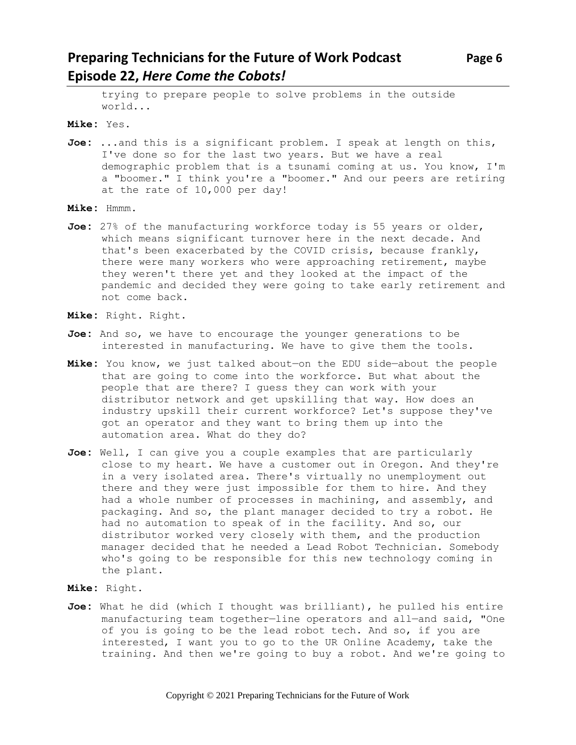# **Preparing Technicians for the Future of Work Podcast** Page 6 **Episode 22,** *Here Come the Cobots!*

trying to prepare people to solve problems in the outside world...

**Mike:** Yes.

- **Joe:** ...and this is a significant problem. I speak at length on this, I've done so for the last two years. But we have a real demographic problem that is a tsunami coming at us. You know, I'm a "boomer." I think you're a "boomer." And our peers are retiring at the rate of 10,000 per day!
- **Mike:** Hmmm.
- **Joe:** 27% of the manufacturing workforce today is 55 years or older, which means significant turnover here in the next decade. And that's been exacerbated by the COVID crisis, because frankly, there were many workers who were approaching retirement, maybe they weren't there yet and they looked at the impact of the pandemic and decided they were going to take early retirement and not come back.
- **Mike:** Right. Right.
- **Joe:** And so, we have to encourage the younger generations to be interested in manufacturing. We have to give them the tools.
- **Mike:** You know, we just talked about—on the EDU side—about the people that are going to come into the workforce. But what about the people that are there? I guess they can work with your distributor network and get upskilling that way. How does an industry upskill their current workforce? Let's suppose they've got an operator and they want to bring them up into the automation area. What do they do?
- **Joe:** Well, I can give you a couple examples that are particularly close to my heart. We have a customer out in Oregon. And they're in a very isolated area. There's virtually no unemployment out there and they were just impossible for them to hire. And they had a whole number of processes in machining, and assembly, and packaging. And so, the plant manager decided to try a robot. He had no automation to speak of in the facility. And so, our distributor worked very closely with them, and the production manager decided that he needed a Lead Robot Technician. Somebody who's going to be responsible for this new technology coming in the plant.
- **Mike:** Right.
- **Joe:** What he did (which I thought was brilliant), he pulled his entire manufacturing team together—line operators and all—and said, "One of you is going to be the lead robot tech. And so, if you are interested, I want you to go to the UR Online Academy, take the training. And then we're going to buy a robot. And we're going to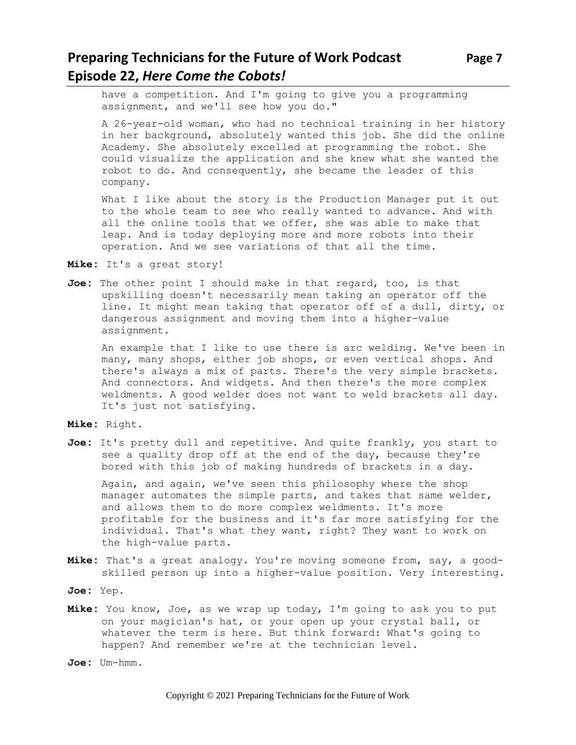have a competition. And I'm going to give you a programming assignment, and we'll see how you do."

A 26-year-old woman, who had no technical training in her history in her background, absolutely wanted this job. She did the online Academy. She absolutely excelled at programming the robot. She could visualize the application and she knew what she wanted the robot to do. And consequently, she became the leader of this company.

What I like about the story is the Production Manager put it out to the whole team to see who really wanted to advance. And with all the online tools that we offer, she was able to make that leap. And is today deploying more and more robots into their operation. And we see variations of that all the time.

**Mike:** It's a great story!

**Joe:** The other point I should make in that regard, too, is that upskilling doesn't necessarily mean taking an operator off the line. It might mean taking that operator off of a dull, dirty, or dangerous assignment and moving them into a higher-value assignment.

An example that I like to use there is arc welding. We've been in many, many shops, either job shops, or even vertical shops. And there's always a mix of parts. There's the very simple brackets. And connectors. And widgets. And then there's the more complex weldments. A good welder does not want to weld brackets all day. It's just not satisfying.

**Mike:** Right.

**Joe:** It's pretty dull and repetitive. And quite frankly, you start to see a quality drop off at the end of the day, because they're bored with this job of making hundreds of brackets in a day.

Again, and again, we've seen this philosophy where the shop manager automates the simple parts, and takes that same welder, and allows them to do more complex weldments. It's more profitable for the business and it's far more satisfying for the individual. That's what they want, right? They want to work on the high-value parts.

- **Mike:** That's a great analogy. You're moving someone from, say, a goodskilled person up into a higher-value position. Very interesting.
- **Joe:** Yep.
- **Mike:** You know, Joe, as we wrap up today, I'm going to ask you to put on your magician's hat, or your open up your crystal ball, or whatever the term is here. But think forward: What's going to happen? And remember we're at the technician level.

**Joe:** Um-hmm.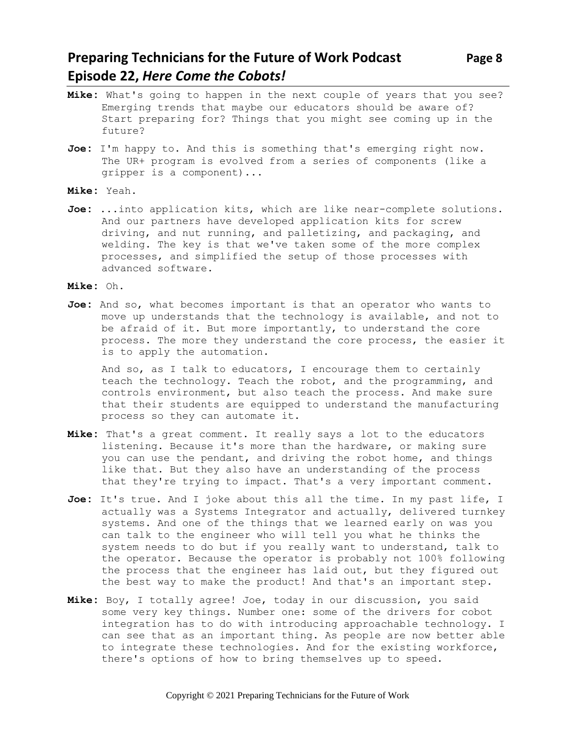## **Preparing Technicians for the Future of Work Podcast** Page 8 **Episode 22,** *Here Come the Cobots!*

- **Mike:** What's going to happen in the next couple of years that you see? Emerging trends that maybe our educators should be aware of? Start preparing for? Things that you might see coming up in the future?
- **Joe:** I'm happy to. And this is something that's emerging right now. The UR+ program is evolved from a series of components (like a gripper is a component)...
- **Mike:** Yeah.
- **Joe:** ...into application kits, which are like near-complete solutions. And our partners have developed application kits for screw driving, and nut running, and palletizing, and packaging, and welding. The key is that we've taken some of the more complex processes, and simplified the setup of those processes with advanced software.
- **Mike:** Oh.
- **Joe:** And so, what becomes important is that an operator who wants to move up understands that the technology is available, and not to be afraid of it. But more importantly, to understand the core process. The more they understand the core process, the easier it is to apply the automation.

And so, as I talk to educators, I encourage them to certainly teach the technology. Teach the robot, and the programming, and controls environment, but also teach the process. And make sure that their students are equipped to understand the manufacturing process so they can automate it.

- **Mike:** That's a great comment. It really says a lot to the educators listening. Because it's more than the hardware, or making sure you can use the pendant, and driving the robot home, and things like that. But they also have an understanding of the process that they're trying to impact. That's a very important comment.
- **Joe:** It's true. And I joke about this all the time. In my past life, I actually was a Systems Integrator and actually, delivered turnkey systems. And one of the things that we learned early on was you can talk to the engineer who will tell you what he thinks the system needs to do but if you really want to understand, talk to the operator. Because the operator is probably not 100% following the process that the engineer has laid out, but they figured out the best way to make the product! And that's an important step.
- **Mike:** Boy, I totally agree! Joe, today in our discussion, you said some very key things. Number one: some of the drivers for cobot integration has to do with introducing approachable technology. I can see that as an important thing. As people are now better able to integrate these technologies. And for the existing workforce, there's options of how to bring themselves up to speed.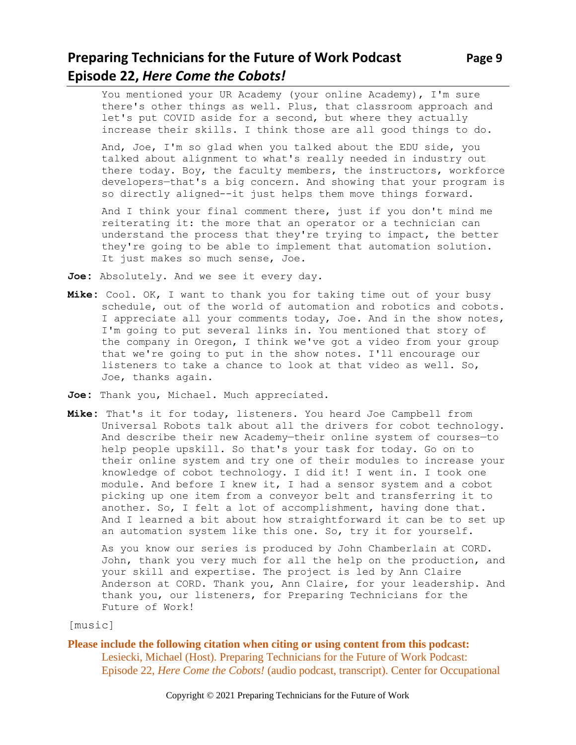# **Preparing Technicians for the Future of Work Podcast** Page 9 **Episode 22,** *Here Come the Cobots!*

You mentioned your UR Academy (your online Academy), I'm sure there's other things as well. Plus, that classroom approach and let's put COVID aside for a second, but where they actually increase their skills. I think those are all good things to do.

And, Joe, I'm so glad when you talked about the EDU side, you talked about alignment to what's really needed in industry out there today. Boy, the faculty members, the instructors, workforce developers—that's a big concern. And showing that your program is so directly aligned--it just helps them move things forward.

And I think your final comment there, just if you don't mind me reiterating it: the more that an operator or a technician can understand the process that they're trying to impact, the better they're going to be able to implement that automation solution. It just makes so much sense, Joe.

**Joe:** Absolutely. And we see it every day.

- **Mike:** Cool. OK, I want to thank you for taking time out of your busy schedule, out of the world of automation and robotics and cobots. I appreciate all your comments today, Joe. And in the show notes, I'm going to put several links in. You mentioned that story of the company in Oregon, I think we've got a video from your group that we're going to put in the show notes. I'll encourage our listeners to take a chance to look at that video as well. So, Joe, thanks again.
- **Joe:** Thank you, Michael. Much appreciated.
- **Mike:** That's it for today, listeners. You heard Joe Campbell from Universal Robots talk about all the drivers for cobot technology. And describe their new Academy—their online system of courses—to help people upskill. So that's your task for today. Go on to their online system and try one of their modules to increase your knowledge of cobot technology. I did it! I went in. I took one module. And before I knew it, I had a sensor system and a cobot picking up one item from a conveyor belt and transferring it to another. So, I felt a lot of accomplishment, having done that. And I learned a bit about how straightforward it can be to set up an automation system like this one. So, try it for yourself.

As you know our series is produced by John Chamberlain at CORD. John, thank you very much for all the help on the production, and your skill and expertise. The project is led by Ann Claire Anderson at CORD. Thank you, Ann Claire, for your leadership. And thank you, our listeners, for Preparing Technicians for the Future of Work!

[music]

**Please include the following citation when citing or using content from this podcast:** Lesiecki, Michael (Host). Preparing Technicians for the Future of Work Podcast: Episode 22, *Here Come the Cobots!* (audio podcast, transcript). Center for Occupational